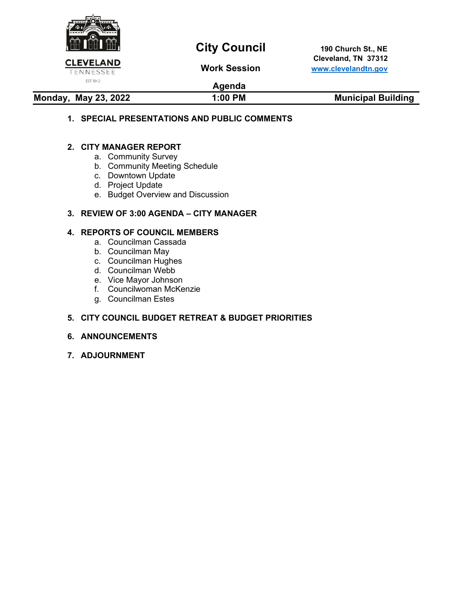

# **City Council** 190 Church St., NE

 **Cleveland, TN 37312 Work Session [www.clevelandtn.gov](http://www.clevelandtn.gov/)**

## **Agenda**

Monday, May 23, 2022 **1:00 PM** Municipal Building

## **1. SPECIAL PRESENTATIONS AND PUBLIC COMMENTS**

## **2. CITY MANAGER REPORT**

- a. Community Survey
- b. Community Meeting Schedule
- c. Downtown Update
- d. Project Update
- e. Budget Overview and Discussion

## **3. REVIEW OF 3:00 AGENDA – CITY MANAGER**

## **4. REPORTS OF COUNCIL MEMBERS**

- a. Councilman Cassada
- b. Councilman May
- c. Councilman Hughes
- d. Councilman Webb
- e. Vice Mayor Johnson
- f. Councilwoman McKenzie
- g. Councilman Estes

## **5. CITY COUNCIL BUDGET RETREAT & BUDGET PRIORITIES**

### **6. ANNOUNCEMENTS**

**7. ADJOURNMENT**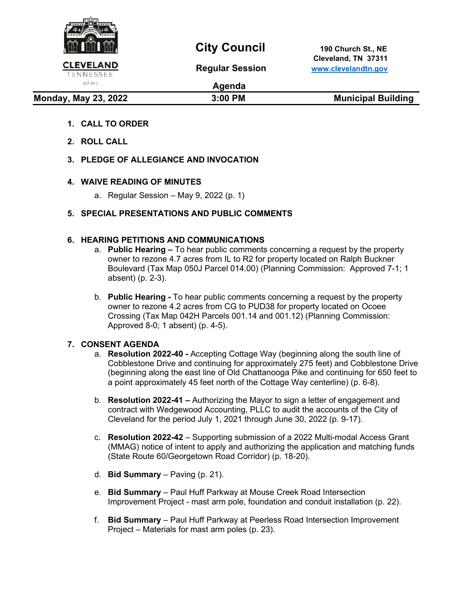

# **City Council** 190 Church St., NE

 **Cleveland, TN 37311 Regular Session [www.clevelandtn.gov](http://www.clevelandtn.gov/)**

# EST. 1842

## **Agenda**

**Monday, May 23, 2022** 3:00 PM 3:00 PM Municipal Building

- **1. CALL TO ORDER**
- **2. ROLL CALL**
- **3. PLEDGE OF ALLEGIANCE AND INVOCATION**

## **4. WAIVE READING OF MINUTES**

a. Regular Session – May 9, 2022 (p. 1)

## **5. SPECIAL PRESENTATIONS AND PUBLIC COMMENTS**

## **6. HEARING PETITIONS AND COMMUNICATIONS**

- a. **Public Hearing** To hear public comments concerning a request by the property owner to rezone 4.7 acres from IL to R2 for property located on Ralph Buckner Boulevard (Tax Map 050J Parcel 014.00) (Planning Commission: Approved 7-1; 1 absent) (p. 2-3).
- b. **Public Hearing** To hear public comments concerning a request by the property owner to rezone 4.2 acres from CG to PUD38 for property located on Ocoee Crossing (Tax Map 042H Parcels 001.14 and 001.12) (Planning Commission: Approved 8-0; 1 absent) (p. 4-5).

## **7. CONSENT AGENDA**

- a. **Resolution 2022-40** Accepting Cottage Way (beginning along the south line of Cobblestone Drive and continuing for approximately 275 feet) and Cobblestone Drive (beginning along the east line of Old Chattanooga Pike and continuing for 650 feet to a point approximately 45 feet north of the Cottage Way centerline) (p. 6-8).
- b. **Resolution 2022-41** Authorizing the Mayor to sign a letter of engagement and contract with Wedgewood Accounting, PLLC to audit the accounts of the City of Cleveland for the period July 1, 2021 through June 30, 2022 (p. 9-17).
- c. **Resolution 2022-42** Supporting submission of a 2022 Multi-modal Access Grant (MMAG) notice of intent to apply and authorizing the application and matching funds (State Route 60/Georgetown Road Corridor) (p. 18-20).
- d. **Bid Summary** Paving (p. 21).
- e. **Bid Summary** Paul Huff Parkway at Mouse Creek Road Intersection Improvement Project - mast arm pole, foundation and conduit installation (p. 22).
- f. **Bid Summary** Paul Huff Parkway at Peerless Road Intersection Improvement Project – Materials for mast arm poles (p. 23).